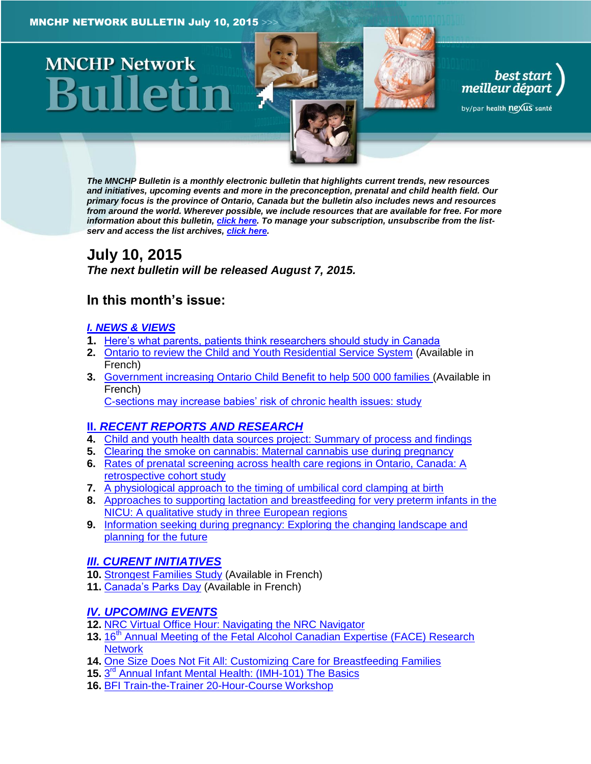# **MNCHP Network**



best start<br>| best start<br>| meilleur départ

by/par health nexus santé

*The MNCHP Bulletin is a monthly electronic bulletin that highlights current trends, new resources and initiatives, upcoming events and more in the preconception, prenatal and child health field. Our primary focus is the province of Ontario, Canada but the bulletin also includes news and resources from around the world. Wherever possible, we include resources that are available for free. For more information about this bulletin[, click here.](#page-13-0) To manage your subscription, unsubscribe from the listserv and access the list archives, [click here.](http://beststart.org/services/information.html)* 

# <span id="page-0-0"></span>**July 10, 2015** *The next bulletin will be released August 7, 2015.*

# **In this month's issue:**

## *[I. NEWS & VIEWS](#page-1-0)*

- **1.** [Here's what parents, patients think researchers should study in Canada](#page-1-1)
- **2.** [Ontario to review the Child and Youth Residential Service System](#page-1-2) (Available in French)
- **3.** [Government increasing Ontario Child Benefit to help 500 000 families](#page-2-0) (Available in French) [C-sections may increase babies' risk of chronic health issues: study](#page-2-1)

# **II.** *[RECENT REPORTS AND RESEARCH](#page-2-2)*

- **4.** [Child and youth health data sources project: Summary of process and findings](#page-3-0)
- **5.** [Clearing the smoke on cannabis: Maternal cannabis use during pregnancy](#page-3-1)
- **6.** [Rates of prenatal screening across health care regions in Ontario, Canada: A](#page-4-0)  [retrospective cohort study](#page-4-0)
- **7.** [A physiological approach to the timing of umbilical cord clamping at birth](#page-5-0)
- **8.** [Approaches to supporting lactation and breastfeeding for very preterm infants in the](#page-5-1)  [NICU: A qualitative study in three European regions](#page-5-1)
- **9.** [Information seeking during pregnancy: Exploring the changing landscape and](#page-6-0)  [planning for the future](#page-6-0)

# *[III. CURENT INITIATIVES](#page-7-0)*

- **10.** [Strongest Families Study](#page-7-1) (Available in French)
- **11.** [Canada's Parks](#page-8-0) Day (Available in French)

# *[IV. UPCOMING EVENTS](#page-8-1)*

- **12.** [NRC Virtual Office Hour: Navigating the NRC Navigator](#page-8-2)
- 13. 16<sup>th</sup> Annual Meeting of the Fetal Alcohol Canadian Expertise (FACE) Research **[Network](#page-9-0)**
- **14.** [One Size Does Not Fit All: Customizing Care for Breastfeeding Families](#page-9-1)
- **15.** 3 rd [Annual Infant Mental Health: \(IMH-101\) The Basics](#page-9-2)
- **16.** [BFI Train-the-Trainer 20-Hour-Course Workshop](#page-10-0)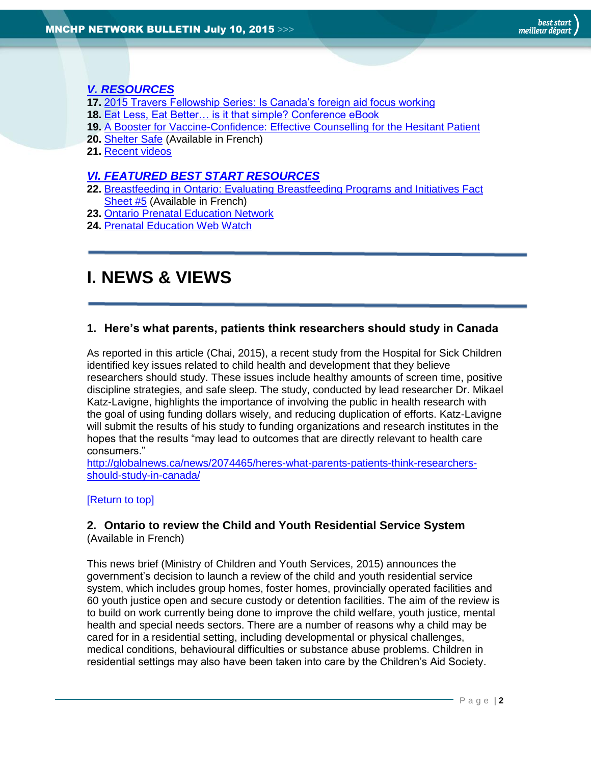## *[V. RESOURCES](#page-10-1)*

- **17.** [2015 Travers Fellowship Series: Is Canada's foreign aid focus working](#page-10-2)
- **18.** [Eat Less, Eat Better… is it that simple? Conference eBook](#page-10-3)
- **19.** [A Booster for Vaccine-Confidence: Effective Counselling for the Hesitant Patient](#page-11-0)
- **20.** [Shelter Safe](#page-11-1) (Available in French)
- **21.** [Recent videos](#page-12-0)

#### *[VI. FEATURED BEST START RESOURCES](#page-12-1)*

- **22.** [Breastfeeding in Ontario: Evaluating Breastfeeding Programs and Initiatives Fact](#page-12-2)  [Sheet #5](#page-12-2) (Available in French)
- **23.** [Ontario Prenatal Education Network](#page-12-3)
- **24.** [Prenatal Education Web Watch](#page-13-1)

# <span id="page-1-0"></span>**I. NEWS & VIEWS**

#### <span id="page-1-1"></span>**1. Here's what parents, patients think researchers should study in Canada**

As reported in this article (Chai, 2015), a recent study from the Hospital for Sick Children identified key issues related to child health and development that they believe researchers should study. These issues include healthy amounts of screen time, positive discipline strategies, and safe sleep. The study, conducted by lead researcher Dr. Mikael Katz-Lavigne, highlights the importance of involving the public in health research with the goal of using funding dollars wisely, and reducing duplication of efforts. Katz-Lavigne will submit the results of his study to funding organizations and research institutes in the hopes that the results "may lead to outcomes that are directly relevant to health care consumers."

[http://globalnews.ca/news/2074465/heres-what-parents-patients-think-researchers](http://globalnews.ca/news/2074465/heres-what-parents-patients-think-researchers-should-study-in-canada/)[should-study-in-canada/](http://globalnews.ca/news/2074465/heres-what-parents-patients-think-researchers-should-study-in-canada/)

#### [\[Return to top\]](#page-0-0)

#### <span id="page-1-2"></span>**2. Ontario to review the Child and Youth Residential Service System** (Available in French)

This news brief (Ministry of Children and Youth Services, 2015) announces the government's decision to launch a review of the child and youth residential service system, which includes group homes, foster homes, provincially operated facilities and 60 youth justice open and secure custody or detention facilities. The aim of the review is to build on work currently being done to improve the child welfare, youth justice, mental health and special needs sectors. There are a number of reasons why a child may be cared for in a residential setting, including developmental or physical challenges, medical conditions, behavioural difficulties or substance abuse problems. Children in residential settings may also have been taken into care by the Children's Aid Society.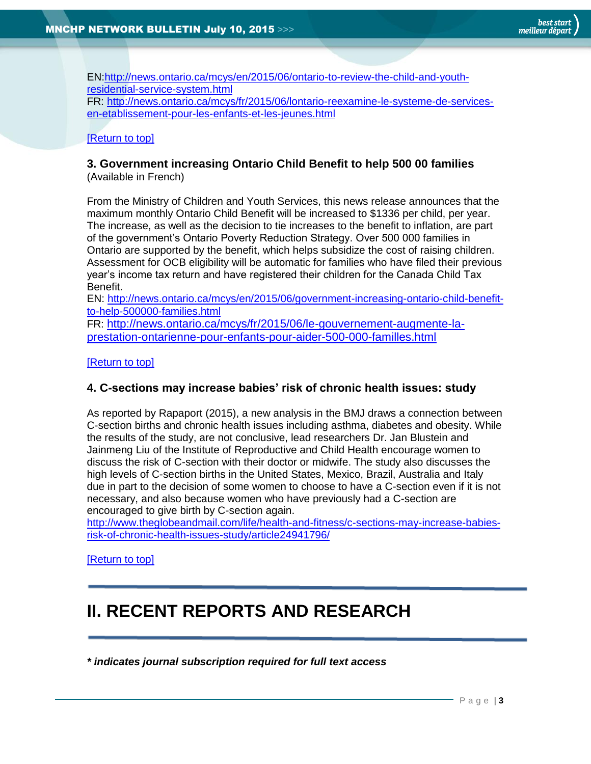EN[:http://news.ontario.ca/mcys/en/2015/06/ontario-to-review-the-child-and-youth](http://news.ontario.ca/mcys/en/2015/06/ontario-to-review-the-child-and-youth-residential-service-system.html)[residential-service-system.html](http://news.ontario.ca/mcys/en/2015/06/ontario-to-review-the-child-and-youth-residential-service-system.html) FR: [http://news.ontario.ca/mcys/fr/2015/06/lontario-reexamine-le-systeme-de-services](http://news.ontario.ca/mcys/fr/2015/06/lontario-reexamine-le-systeme-de-services-en-etablissement-pour-les-enfants-et-les-jeunes.html)[en-etablissement-pour-les-enfants-et-les-jeunes.html](http://news.ontario.ca/mcys/fr/2015/06/lontario-reexamine-le-systeme-de-services-en-etablissement-pour-les-enfants-et-les-jeunes.html)

#### [\[Return to top\]](#page-0-0)

#### <span id="page-2-0"></span>**3. Government increasing Ontario Child Benefit to help 500 00 families** (Available in French)

From the Ministry of Children and Youth Services, this news release announces that the maximum monthly Ontario Child Benefit will be increased to \$1336 per child, per year. The increase, as well as the decision to tie increases to the benefit to inflation, are part of the government's Ontario Poverty Reduction Strategy. Over 500 000 families in Ontario are supported by the benefit, which helps subsidize the cost of raising children. Assessment for OCB eligibility will be automatic for families who have filed their previous year's income tax return and have registered their children for the Canada Child Tax Benefit.

EN: [http://news.ontario.ca/mcys/en/2015/06/government-increasing-ontario-child-benefit](http://news.ontario.ca/mcys/en/2015/06/government-increasing-ontario-child-benefit-to-help-500000-families.html)[to-help-500000-families.html](http://news.ontario.ca/mcys/en/2015/06/government-increasing-ontario-child-benefit-to-help-500000-families.html)

FR: [http://news.ontario.ca/mcys/fr/2015/06/le-gouvernement-augmente-la](http://news.ontario.ca/mcys/fr/2015/06/le-gouvernement-augmente-la-prestation-ontarienne-pour-enfants-pour-aider-500-000-familles.html)[prestation-ontarienne-pour-enfants-pour-aider-500-000-familles.html](http://news.ontario.ca/mcys/fr/2015/06/le-gouvernement-augmente-la-prestation-ontarienne-pour-enfants-pour-aider-500-000-familles.html)

#### [\[Return to top\]](#page-0-0)

#### <span id="page-2-1"></span>**4. C-sections may increase babies' risk of chronic health issues: study**

As reported by Rapaport (2015), a new analysis in the BMJ draws a connection between C-section births and chronic health issues including asthma, diabetes and obesity. While the results of the study, are not conclusive, lead researchers Dr. Jan Blustein and Jainmeng Liu of the Institute of Reproductive and Child Health encourage women to discuss the risk of C-section with their doctor or midwife. The study also discusses the high levels of C-section births in the United States, Mexico, Brazil, Australia and Italy due in part to the decision of some women to choose to have a C-section even if it is not necessary, and also because women who have previously had a C-section are encouraged to give birth by C-section again.

[http://www.theglobeandmail.com/life/health-and-fitness/c-sections-may-increase-babies](http://www.theglobeandmail.com/life/health-and-fitness/c-sections-may-increase-babies-risk-of-chronic-health-issues-study/article24941796/)[risk-of-chronic-health-issues-study/article24941796/](http://www.theglobeandmail.com/life/health-and-fitness/c-sections-may-increase-babies-risk-of-chronic-health-issues-study/article24941796/)

[\[Return to top\]](#page-0-0)

# <span id="page-2-2"></span>**II. RECENT REPORTS AND RESEARCH**

*\* indicates journal subscription required for full text access*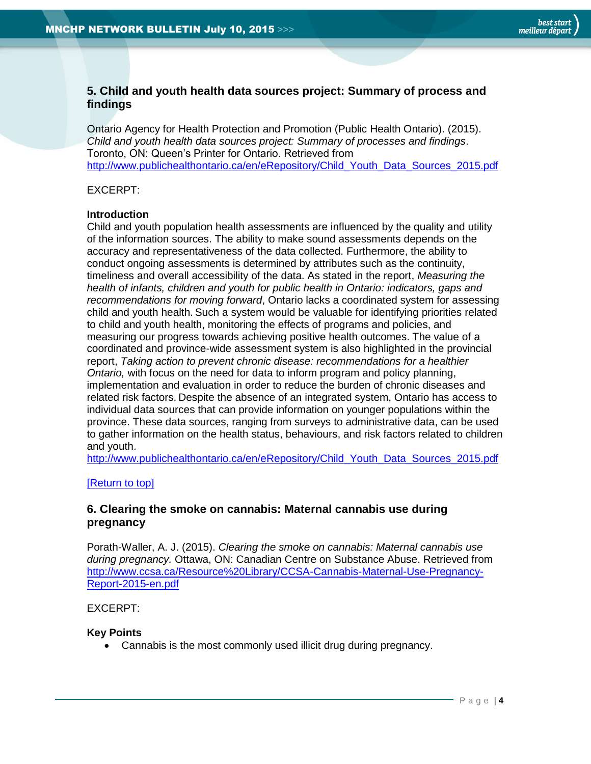## <span id="page-3-0"></span>**5. Child and youth health data sources project: Summary of process and findings**

Ontario Agency for Health Protection and Promotion (Public Health Ontario). (2015). *Child and youth health data sources project: Summary of processes and findings*. Toronto, ON: Queen's Printer for Ontario. Retrieved from [http://www.publichealthontario.ca/en/eRepository/Child\\_Youth\\_Data\\_Sources\\_2015.pdf](http://www.publichealthontario.ca/en/eRepository/Child_Youth_Data_Sources_2015.pdf)

#### EXCERPT:

#### **Introduction**

Child and youth population health assessments are influenced by the quality and utility of the information sources. The ability to make sound assessments depends on the accuracy and representativeness of the data collected. Furthermore, the ability to conduct ongoing assessments is determined by attributes such as the continuity, timeliness and overall accessibility of the data. As stated in the report, *Measuring the health of infants, children and youth for public health in Ontario: indicators, gaps and recommendations for moving forward*, Ontario lacks a coordinated system for assessing child and youth health. Such a system would be valuable for identifying priorities related to child and youth health, monitoring the effects of programs and policies, and measuring our progress towards achieving positive health outcomes. The value of a coordinated and province-wide assessment system is also highlighted in the provincial report, *Taking action to prevent chronic disease: recommendations for a healthier Ontario,* with focus on the need for data to inform program and policy planning, implementation and evaluation in order to reduce the burden of chronic diseases and related risk factors. Despite the absence of an integrated system, Ontario has access to individual data sources that can provide information on younger populations within the province. These data sources, ranging from surveys to administrative data, can be used to gather information on the health status, behaviours, and risk factors related to children and youth.

[http://www.publichealthontario.ca/en/eRepository/Child\\_Youth\\_Data\\_Sources\\_2015.pdf](http://www.publichealthontario.ca/en/eRepository/Child_Youth_Data_Sources_2015.pdf)

#### [\[Return to top\]](#page-0-0)

#### <span id="page-3-1"></span>**6. Clearing the smoke on cannabis: Maternal cannabis use during pregnancy**

Porath-Waller, A. J. (2015). *Clearing the smoke on cannabis: Maternal cannabis use during pregnancy.* Ottawa, ON: Canadian Centre on Substance Abuse. Retrieved from [http://www.ccsa.ca/Resource%20Library/CCSA-Cannabis-Maternal-Use-Pregnancy-](http://www.ccsa.ca/Resource%20Library/CCSA-Cannabis-Maternal-Use-Pregnancy-Report-2015-en.pdf)[Report-2015-en.pdf](http://www.ccsa.ca/Resource%20Library/CCSA-Cannabis-Maternal-Use-Pregnancy-Report-2015-en.pdf)

#### EXCERPT:

#### **Key Points**

Cannabis is the most commonly used illicit drug during pregnancy.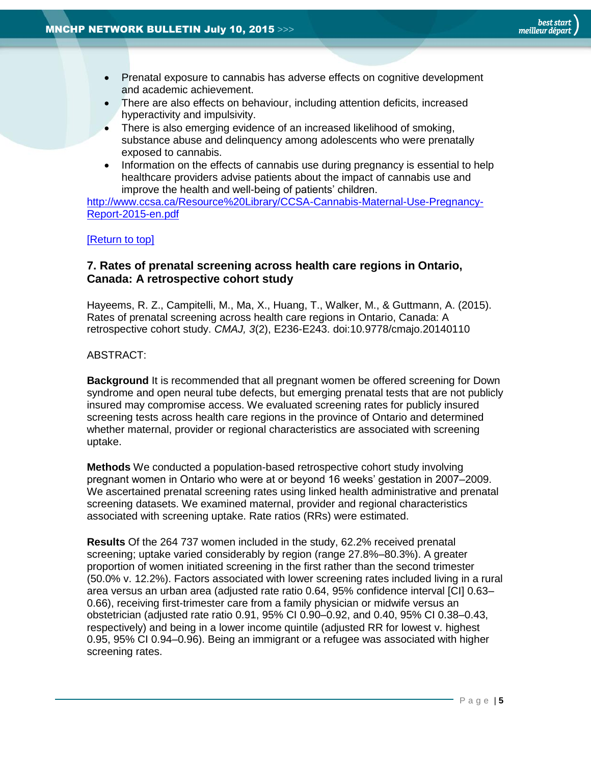- Prenatal exposure to cannabis has adverse effects on cognitive development and academic achievement.
- There are also effects on behaviour, including attention deficits, increased hyperactivity and impulsivity.
- There is also emerging evidence of an increased likelihood of smoking, substance abuse and delinquency among adolescents who were prenatally exposed to cannabis.
- Information on the effects of cannabis use during pregnancy is essential to help healthcare providers advise patients about the impact of cannabis use and improve the health and well-being of patients' children.

[http://www.ccsa.ca/Resource%20Library/CCSA-Cannabis-Maternal-Use-Pregnancy-](http://www.ccsa.ca/Resource%20Library/CCSA-Cannabis-Maternal-Use-Pregnancy-Report-2015-en.pdf)[Report-2015-en.pdf](http://www.ccsa.ca/Resource%20Library/CCSA-Cannabis-Maternal-Use-Pregnancy-Report-2015-en.pdf)

#### [\[Return to top\]](#page-0-0)

#### <span id="page-4-0"></span>**7. Rates of prenatal screening across health care regions in Ontario, Canada: A retrospective cohort study**

Hayeems, R. Z., Campitelli, M., Ma, X., Huang, T., Walker, M., & Guttmann, A. (2015). Rates of prenatal screening across health care regions in Ontario, Canada: A retrospective cohort study. *CMAJ, 3*(2), E236-E243. doi:10.9778/cmajo.20140110

#### ABSTRACT:

**Background** It is recommended that all pregnant women be offered screening for Down syndrome and open neural tube defects, but emerging prenatal tests that are not publicly insured may compromise access. We evaluated screening rates for publicly insured screening tests across health care regions in the province of Ontario and determined whether maternal, provider or regional characteristics are associated with screening uptake.

**Methods** We conducted a population-based retrospective cohort study involving pregnant women in Ontario who were at or beyond 16 weeks' gestation in 2007–2009. We ascertained prenatal screening rates using linked health administrative and prenatal screening datasets. We examined maternal, provider and regional characteristics associated with screening uptake. Rate ratios (RRs) were estimated.

**Results** Of the 264 737 women included in the study, 62.2% received prenatal screening; uptake varied considerably by region (range 27.8%–80.3%). A greater proportion of women initiated screening in the first rather than the second trimester (50.0% v. 12.2%). Factors associated with lower screening rates included living in a rural area versus an urban area (adjusted rate ratio 0.64, 95% confidence interval [CI] 0.63– 0.66), receiving first-trimester care from a family physician or midwife versus an obstetrician (adjusted rate ratio 0.91, 95% CI 0.90–0.92, and 0.40, 95% CI 0.38–0.43, respectively) and being in a lower income quintile (adjusted RR for lowest v. highest 0.95, 95% CI 0.94–0.96). Being an immigrant or a refugee was associated with higher screening rates.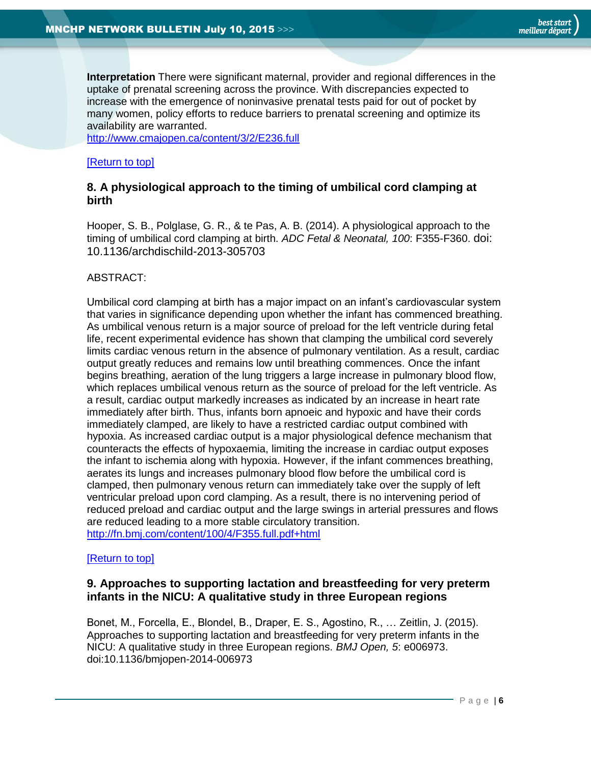**Interpretation** There were significant maternal, provider and regional differences in the uptake of prenatal screening across the province. With discrepancies expected to increase with the emergence of noninvasive prenatal tests paid for out of pocket by many women, policy efforts to reduce barriers to prenatal screening and optimize its availability are warranted.

<http://www.cmajopen.ca/content/3/2/E236.full>

#### [\[Return to top\]](#page-0-0)

## <span id="page-5-0"></span>**8. A physiological approach to the timing of umbilical cord clamping at birth**

Hooper, S. B., Polglase, G. R., & te Pas, A. B. (2014). A physiological approach to the timing of umbilical cord clamping at birth. *ADC Fetal & Neonatal, 100*: F355-F360. doi: 10.1136/archdischild-2013-305703

#### ABSTRACT:

Umbilical cord clamping at birth has a major impact on an infant's cardiovascular system that varies in significance depending upon whether the infant has commenced breathing. As umbilical venous return is a major source of preload for the left ventricle during fetal life, recent experimental evidence has shown that clamping the umbilical cord severely limits cardiac venous return in the absence of pulmonary ventilation. As a result, cardiac output greatly reduces and remains low until breathing commences. Once the infant begins breathing, aeration of the lung triggers a large increase in pulmonary blood flow, which replaces umbilical venous return as the source of preload for the left ventricle. As a result, cardiac output markedly increases as indicated by an increase in heart rate immediately after birth. Thus, infants born apnoeic and hypoxic and have their cords immediately clamped, are likely to have a restricted cardiac output combined with hypoxia. As increased cardiac output is a major physiological defence mechanism that counteracts the effects of hypoxaemia, limiting the increase in cardiac output exposes the infant to ischemia along with hypoxia. However, if the infant commences breathing, aerates its lungs and increases pulmonary blood flow before the umbilical cord is clamped, then pulmonary venous return can immediately take over the supply of left ventricular preload upon cord clamping. As a result, there is no intervening period of reduced preload and cardiac output and the large swings in arterial pressures and flows are reduced leading to a more stable circulatory transition. <http://fn.bmj.com/content/100/4/F355.full.pdf+html>

#### [\[Return to top\]](#page-0-0)

#### <span id="page-5-1"></span>**9. Approaches to supporting lactation and breastfeeding for very preterm infants in the NICU: A qualitative study in three European regions**

Bonet, M., Forcella, E., Blondel, B., Draper, E. S., Agostino, R., … Zeitlin, J. (2015). Approaches to supporting lactation and breastfeeding for very preterm infants in the NICU: A qualitative study in three European regions. *BMJ Open, 5*: e006973. doi:10.1136/bmjopen-2014-006973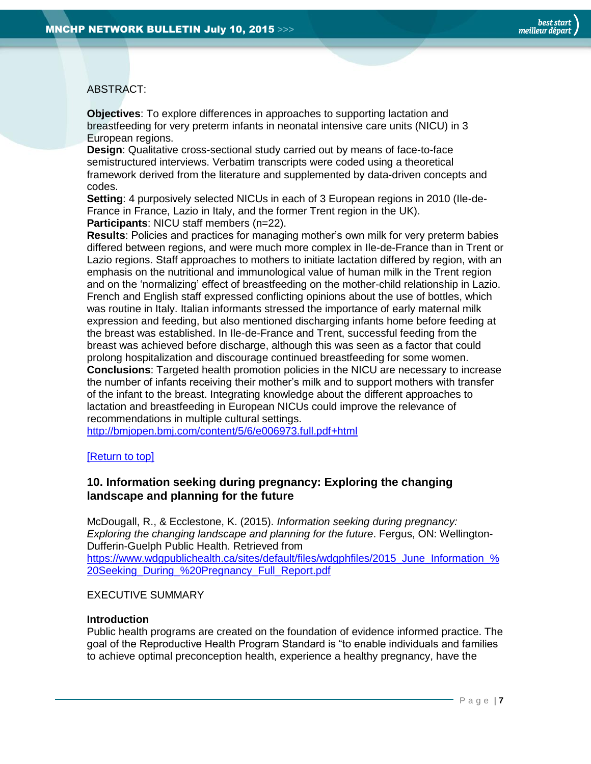#### ABSTRACT:

**Objectives**: To explore differences in approaches to supporting lactation and breastfeeding for very preterm infants in neonatal intensive care units (NICU) in 3 European regions.

**Design**: Qualitative cross-sectional study carried out by means of face-to-face semistructured interviews. Verbatim transcripts were coded using a theoretical framework derived from the literature and supplemented by data-driven concepts and codes.

**Setting**: 4 purposively selected NICUs in each of 3 European regions in 2010 (Ile-de-France in France, Lazio in Italy, and the former Trent region in the UK). **Participants**: NICU staff members (n=22).

**Results**: Policies and practices for managing mother's own milk for very preterm babies differed between regions, and were much more complex in Ile-de-France than in Trent or Lazio regions. Staff approaches to mothers to initiate lactation differed by region, with an emphasis on the nutritional and immunological value of human milk in the Trent region and on the 'normalizing' effect of breastfeeding on the mother-child relationship in Lazio. French and English staff expressed conflicting opinions about the use of bottles, which was routine in Italy. Italian informants stressed the importance of early maternal milk expression and feeding, but also mentioned discharging infants home before feeding at the breast was established. In Ile-de-France and Trent, successful feeding from the breast was achieved before discharge, although this was seen as a factor that could prolong hospitalization and discourage continued breastfeeding for some women. **Conclusions**: Targeted health promotion policies in the NICU are necessary to increase the number of infants receiving their mother's milk and to support mothers with transfer of the infant to the breast. Integrating knowledge about the different approaches to lactation and breastfeeding in European NICUs could improve the relevance of recommendations in multiple cultural settings.

<http://bmjopen.bmj.com/content/5/6/e006973.full.pdf+html>

[\[Return to top\]](#page-0-0)

#### <span id="page-6-0"></span>**10. Information seeking during pregnancy: Exploring the changing landscape and planning for the future**

McDougall, R., & Ecclestone, K. (2015). *Information seeking during pregnancy: Exploring the changing landscape and planning for the future*. Fergus, ON: Wellington-Dufferin-Guelph Public Health. Retrieved from https://www.wdgpublichealth.ca/sites/default/files/wdgphfiles/2015 June Information % [20Seeking\\_During\\_%20Pregnancy\\_Full\\_Report.pdf](https://www.wdgpublichealth.ca/sites/default/files/wdgphfiles/2015_June_Information_%20Seeking_During_%20Pregnancy_Full_Report.pdf)

#### EXECUTIVE SUMMARY

#### **Introduction**

Public health programs are created on the foundation of evidence informed practice. The goal of the Reproductive Health Program Standard is "to enable individuals and families to achieve optimal preconception health, experience a healthy pregnancy, have the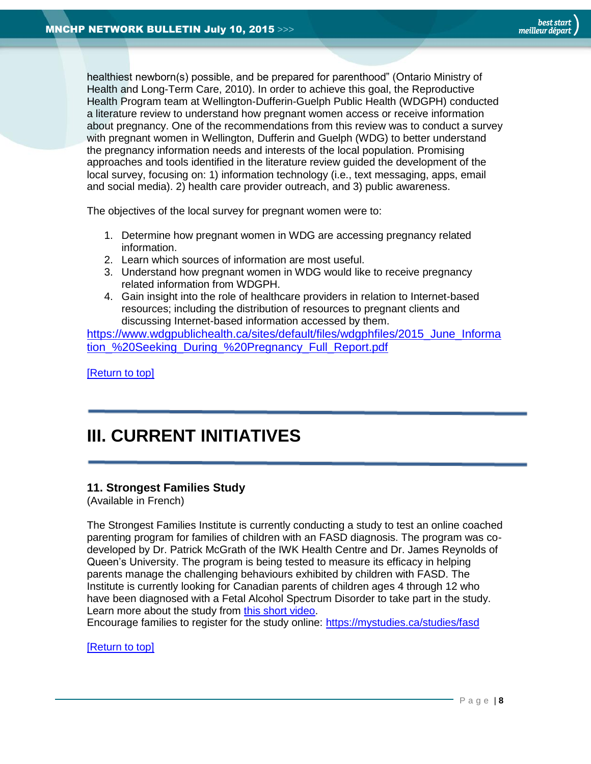healthiest newborn(s) possible, and be prepared for parenthood" (Ontario Ministry of Health and Long-Term Care, 2010). In order to achieve this goal, the Reproductive Health Program team at Wellington-Dufferin-Guelph Public Health (WDGPH) conducted a literature review to understand how pregnant women access or receive information about pregnancy. One of the recommendations from this review was to conduct a survey with pregnant women in Wellington, Dufferin and Guelph (WDG) to better understand the pregnancy information needs and interests of the local population. Promising approaches and tools identified in the literature review guided the development of the local survey, focusing on: 1) information technology (i.e., text messaging, apps, email and social media). 2) health care provider outreach, and 3) public awareness.

The objectives of the local survey for pregnant women were to:

- 1. Determine how pregnant women in WDG are accessing pregnancy related information.
- 2. Learn which sources of information are most useful.
- 3. Understand how pregnant women in WDG would like to receive pregnancy related information from WDGPH.
- 4. Gain insight into the role of healthcare providers in relation to Internet-based resources; including the distribution of resources to pregnant clients and discussing Internet-based information accessed by them.

https://www.wdgpublichealth.ca/sites/default/files/wdgphfiles/2015 June Informa tion %20Seeking During %20Pregnancy Full Report.pdf

[\[Return to top\]](#page-0-0)

# <span id="page-7-0"></span>**III. CURRENT INITIATIVES**

#### <span id="page-7-1"></span>**11. Strongest Families Study**

(Available in French)

The Strongest Families Institute is currently conducting a study to test an online coached parenting program for families of children with an FASD diagnosis. The program was codeveloped by Dr. Patrick McGrath of the IWK Health Centre and Dr. James Reynolds of Queen's University. The program is being tested to measure its efficacy in helping parents manage the challenging behaviours exhibited by children with FASD. The Institute is currently looking for Canadian parents of children ages 4 through 12 who have been diagnosed with a Fetal Alcohol Spectrum Disorder to take part in the study. Learn more about the study from [this short video.](https://www.youtube.com/watch?v=apVEv05IheU&feature=youtu.be)

Encourage families to register for the study online:<https://mystudies.ca/studies/fasd>

[\[Return to top\]](#page-0-0)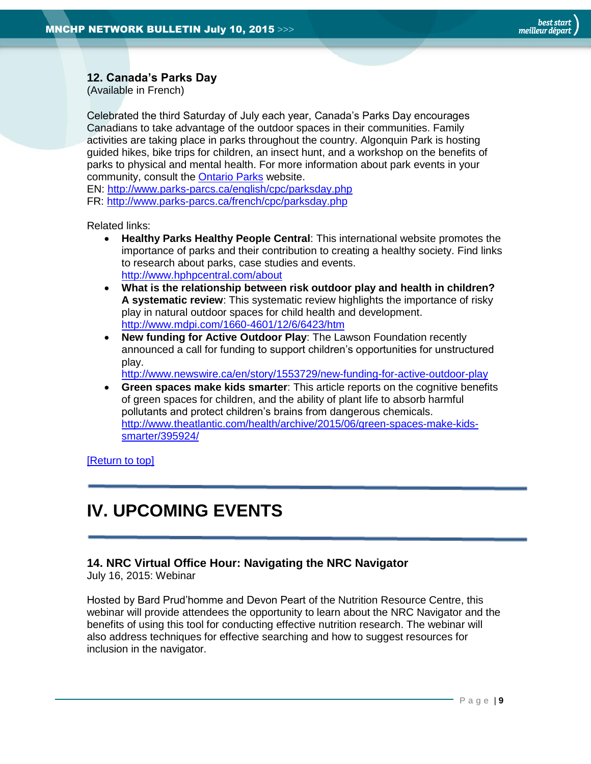## <span id="page-8-0"></span>**12. Canada's Parks Day**

(Available in French)

Celebrated the third Saturday of July each year, Canada's Parks Day encourages Canadians to take advantage of the outdoor spaces in their communities. Family activities are taking place in parks throughout the country. Algonquin Park is hosting guided hikes, bike trips for children, an insect hunt, and a workshop on the benefits of parks to physical and mental health. For more information about park events in your community, consult the [Ontario Parks](http://ontarioparks.com/events) website.

EN:<http://www.parks-parcs.ca/english/cpc/parksday.php> FR:<http://www.parks-parcs.ca/french/cpc/parksday.php>

Related links:

- **Healthy Parks Healthy People Central**: This international website promotes the importance of parks and their contribution to creating a healthy society. Find links to research about parks, case studies and events. <http://www.hphpcentral.com/about>
- **What is the relationship between risk outdoor play and health in children? A systematic review**: This systematic review highlights the importance of risky play in natural outdoor spaces for child health and development. <http://www.mdpi.com/1660-4601/12/6/6423/htm>
- **New funding for Active Outdoor Play**: The Lawson Foundation recently announced a call for funding to support children's opportunities for unstructured play.

<span id="page-8-1"></span><http://www.newswire.ca/en/story/1553729/new-funding-for-active-outdoor-play>

 **Green spaces make kids smarter**: This article reports on the cognitive benefits of green spaces for children, and the ability of plant life to absorb harmful pollutants and protect children's brains from dangerous chemicals. [http://www.theatlantic.com/health/archive/2015/06/green-spaces-make-kids](http://www.theatlantic.com/health/archive/2015/06/green-spaces-make-kids-smarter/395924/)[smarter/395924/](http://www.theatlantic.com/health/archive/2015/06/green-spaces-make-kids-smarter/395924/)

[\[Return to top\]](#page-0-0)

# **IV. UPCOMING EVENTS**

## <span id="page-8-2"></span>**14. NRC Virtual Office Hour: Navigating the NRC Navigator**

July 16, 2015: Webinar

Hosted by Bard Prud'homme and Devon Peart of the Nutrition Resource Centre, this webinar will provide attendees the opportunity to learn about the NRC Navigator and the benefits of using this tool for conducting effective nutrition research. The webinar will also address techniques for effective searching and how to suggest resources for inclusion in the navigator.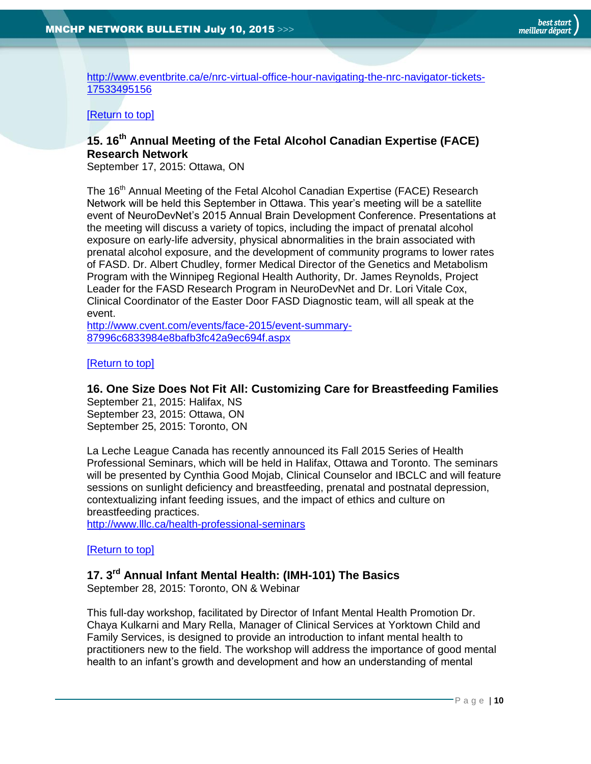[http://www.eventbrite.ca/e/nrc-virtual-office-hour-navigating-the-nrc-navigator-tickets-](http://www.eventbrite.ca/e/nrc-virtual-office-hour-navigating-the-nrc-navigator-tickets-17533495156)[17533495156](http://www.eventbrite.ca/e/nrc-virtual-office-hour-navigating-the-nrc-navigator-tickets-17533495156)

#### [\[Return to top\]](#page-0-0)

## <span id="page-9-0"></span>**15. 16th Annual Meeting of the Fetal Alcohol Canadian Expertise (FACE) Research Network**

September 17, 2015: Ottawa, ON

The 16<sup>th</sup> Annual Meeting of the Fetal Alcohol Canadian Expertise (FACE) Research Network will be held this September in Ottawa. This year's meeting will be a satellite event of NeuroDevNet's 2015 Annual Brain Development Conference. Presentations at the meeting will discuss a variety of topics, including the impact of prenatal alcohol exposure on early-life adversity, physical abnormalities in the brain associated with prenatal alcohol exposure, and the development of community programs to lower rates of FASD. Dr. Albert Chudley, former Medical Director of the Genetics and Metabolism Program with the Winnipeg Regional Health Authority, Dr. James Reynolds, Project Leader for the FASD Research Program in NeuroDevNet and Dr. Lori Vitale Cox, Clinical Coordinator of the Easter Door FASD Diagnostic team, will all speak at the event.

[http://www.cvent.com/events/face-2015/event-summary-](http://www.cvent.com/events/face-2015/event-summary-87996c6833984e8bafb3fc42a9ec694f.aspx)[87996c6833984e8bafb3fc42a9ec694f.aspx](http://www.cvent.com/events/face-2015/event-summary-87996c6833984e8bafb3fc42a9ec694f.aspx)

#### [\[Return to top\]](#page-0-0)

#### <span id="page-9-1"></span>**16. One Size Does Not Fit All: Customizing Care for Breastfeeding Families**

September 21, 2015: Halifax, NS September 23, 2015: Ottawa, ON September 25, 2015: Toronto, ON

La Leche League Canada has recently announced its Fall 2015 Series of Health Professional Seminars, which will be held in Halifax, Ottawa and Toronto. The seminars will be presented by Cynthia Good Mojab, Clinical Counselor and IBCLC and will feature sessions on sunlight deficiency and breastfeeding, prenatal and postnatal depression, contextualizing infant feeding issues, and the impact of ethics and culture on breastfeeding practices.

<http://www.lllc.ca/health-professional-seminars>

#### [\[Return to top\]](#page-0-0)

# <span id="page-9-2"></span>**17. 3rd Annual Infant Mental Health: (IMH-101) The Basics**

September 28, 2015: Toronto, ON & Webinar

This full-day workshop, facilitated by Director of Infant Mental Health Promotion Dr. Chaya Kulkarni and Mary Rella, Manager of Clinical Services at Yorktown Child and Family Services, is designed to provide an introduction to infant mental health to practitioners new to the field. The workshop will address the importance of good mental health to an infant's growth and development and how an understanding of mental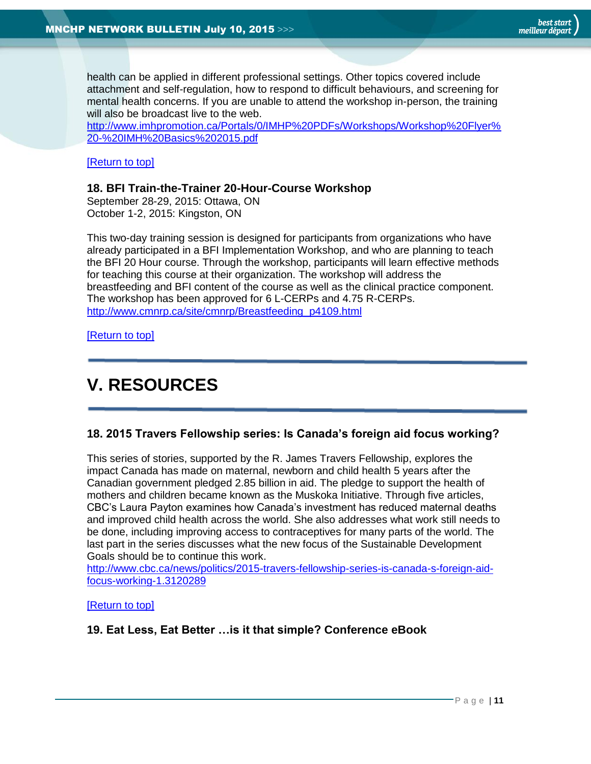health can be applied in different professional settings. Other topics covered include attachment and self-regulation, how to respond to difficult behaviours, and screening for mental health concerns. If you are unable to attend the workshop in-person, the training will also be broadcast live to the web.

[http://www.imhpromotion.ca/Portals/0/IMHP%20PDFs/Workshops/Workshop%20Flyer%](http://www.imhpromotion.ca/Portals/0/IMHP%20PDFs/Workshops/Workshop%20Flyer%20-%20IMH%20Basics%202015.pdf) [20-%20IMH%20Basics%202015.pdf](http://www.imhpromotion.ca/Portals/0/IMHP%20PDFs/Workshops/Workshop%20Flyer%20-%20IMH%20Basics%202015.pdf)

#### [\[Return to top\]](#page-0-0)

#### <span id="page-10-0"></span>**18. BFI Train-the-Trainer 20-Hour-Course Workshop**

September 28-29, 2015: Ottawa, ON October 1-2, 2015: Kingston, ON

This two-day training session is designed for participants from organizations who have already participated in a BFI Implementation Workshop, and who are planning to teach the BFI 20 Hour course. Through the workshop, participants will learn effective methods for teaching this course at their organization. The workshop will address the breastfeeding and BFI content of the course as well as the clinical practice component. The workshop has been approved for 6 L-CERPs and 4.75 R-CERPs. [http://www.cmnrp.ca/site/cmnrp/Breastfeeding\\_p4109.html](http://www.cmnrp.ca/site/cmnrp/Breastfeeding_p4109.html)

[\[Return to top\]](#page-0-0)

# <span id="page-10-1"></span>**V. RESOURCES**

#### <span id="page-10-2"></span>**18. 2015 Travers Fellowship series: Is Canada's foreign aid focus working?**

This series of stories, supported by the R. James Travers Fellowship, explores the impact Canada has made on maternal, newborn and child health 5 years after the Canadian government pledged 2.85 billion in aid. The pledge to support the health of mothers and children became known as the Muskoka Initiative. Through five articles, CBC's Laura Payton examines how Canada's investment has reduced maternal deaths and improved child health across the world. She also addresses what work still needs to be done, including improving access to contraceptives for many parts of the world. The last part in the series discusses what the new focus of the Sustainable Development Goals should be to continue this work.

[http://www.cbc.ca/news/politics/2015-travers-fellowship-series-is-canada-s-foreign-aid](http://www.cbc.ca/news/politics/2015-travers-fellowship-series-is-canada-s-foreign-aid-focus-working-1.3120289)[focus-working-1.3120289](http://www.cbc.ca/news/politics/2015-travers-fellowship-series-is-canada-s-foreign-aid-focus-working-1.3120289)

#### [\[Return to top\]](#page-0-0)

<span id="page-10-3"></span>**19. Eat Less, Eat Better …is it that simple? Conference eBook**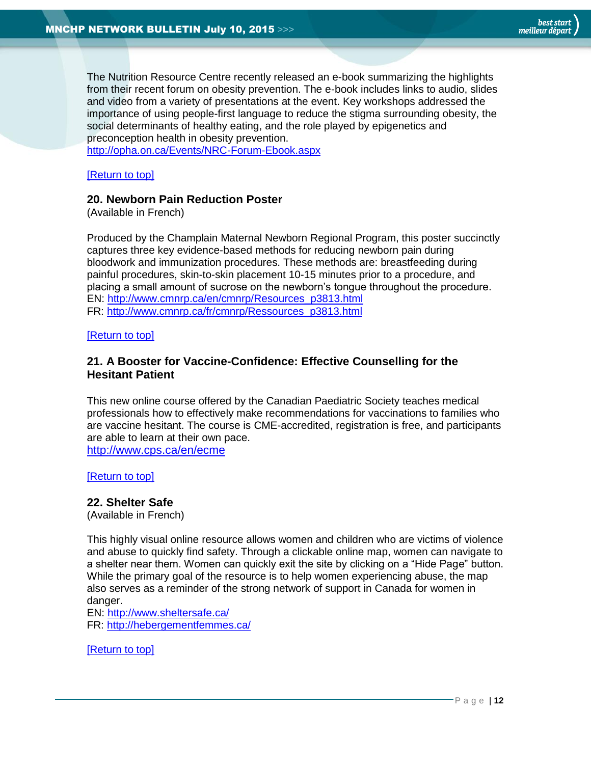The Nutrition Resource Centre recently released an e-book summarizing the highlights from their recent forum on obesity prevention. The e-book includes links to audio, slides and video from a variety of presentations at the event. Key workshops addressed the importance of using people-first language to reduce the stigma surrounding obesity, the social determinants of healthy eating, and the role played by epigenetics and preconception health in obesity prevention.

<http://opha.on.ca/Events/NRC-Forum-Ebook.aspx>

[\[Return to top\]](#page-0-0)

#### **20. Newborn Pain Reduction Poster**

(Available in French)

Produced by the Champlain Maternal Newborn Regional Program, this poster succinctly captures three key evidence-based methods for reducing newborn pain during bloodwork and immunization procedures. These methods are: breastfeeding during painful procedures, skin-to-skin placement 10-15 minutes prior to a procedure, and placing a small amount of sucrose on the newborn's tongue throughout the procedure. EN: [http://www.cmnrp.ca/en/cmnrp/Resources\\_p3813.html](http://www.cmnrp.ca/en/cmnrp/Resources_p3813.html) FR: [http://www.cmnrp.ca/fr/cmnrp/Ressources\\_p3813.html](http://www.cmnrp.ca/fr/cmnrp/Ressources_p3813.html)

[\[Return to top\]](#page-0-0)

#### <span id="page-11-0"></span>**21. A Booster for Vaccine-Confidence: Effective Counselling for the Hesitant Patient**

This new online course offered by the Canadian Paediatric Society teaches medical professionals how to effectively make recommendations for vaccinations to families who are vaccine hesitant. The course is CME-accredited, registration is free, and participants are able to learn at their own pace. <http://www.cps.ca/en/ecme>

[\[Return to top\]](#page-0-0)

#### <span id="page-11-1"></span>**22. Shelter Safe**

(Available in French)

This highly visual online resource allows women and children who are victims of violence and abuse to quickly find safety. Through a clickable online map, women can navigate to a shelter near them. Women can quickly exit the site by clicking on a "Hide Page" button. While the primary goal of the resource is to help women experiencing abuse, the map also serves as a reminder of the strong network of support in Canada for women in danger.

EN:<http://www.sheltersafe.ca/> FR:<http://hebergementfemmes.ca/>

[\[Return to top\]](#page-0-0)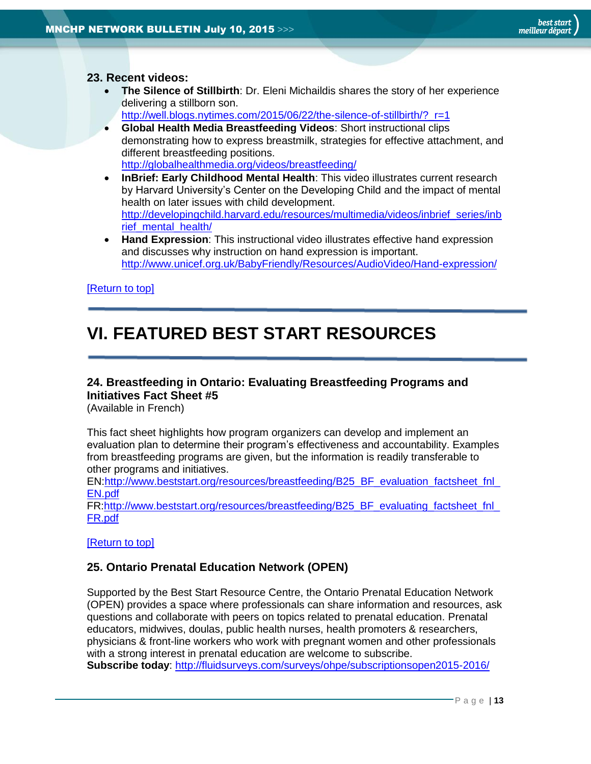#### **23. Recent videos:**

<span id="page-12-0"></span> **The Silence of Stillbirth**: Dr. Eleni Michaildis shares the story of her experience delivering a stillborn son.

[http://well.blogs.nytimes.com/2015/06/22/the-silence-of-stillbirth/?\\_r=1](http://well.blogs.nytimes.com/2015/06/22/the-silence-of-stillbirth/?_r=1)

- **Global Health Media Breastfeeding Videos**: Short instructional clips demonstrating how to express breastmilk, strategies for effective attachment, and different breastfeeding positions. <http://globalhealthmedia.org/videos/breastfeeding/>
- **InBrief: Early Childhood Mental Health**: This video illustrates current research by Harvard University's Center on the Developing Child and the impact of mental health on later issues with child development. [http://developingchild.harvard.edu/resources/multimedia/videos/inbrief\\_series/inb](http://developingchild.harvard.edu/resources/multimedia/videos/inbrief_series/inbrief_mental_health/) rief mental health/
- **Hand Expression**: This instructional video illustrates effective hand expression and discusses why instruction on hand expression is important. <http://www.unicef.org.uk/BabyFriendly/Resources/AudioVideo/Hand-expression/>

#### [\[Return to top\]](#page-0-0)

# <span id="page-12-1"></span>**VI. FEATURED BEST START RESOURCES**

#### <span id="page-12-2"></span>**24. Breastfeeding in Ontario: Evaluating Breastfeeding Programs and Initiatives Fact Sheet #5**

(Available in French)

This fact sheet highlights how program organizers can develop and implement an evaluation plan to determine their program's effectiveness and accountability. Examples from breastfeeding programs are given, but the information is readily transferable to other programs and initiatives.

EN[:http://www.beststart.org/resources/breastfeeding/B25\\_BF\\_evaluation\\_factsheet\\_fnl\\_](http://www.beststart.org/resources/breastfeeding/B25_BF_evaluation_factsheet_fnl_EN.pdf) [EN.pdf](http://www.beststart.org/resources/breastfeeding/B25_BF_evaluation_factsheet_fnl_EN.pdf)

FR[:http://www.beststart.org/resources/breastfeeding/B25\\_BF\\_evaluating\\_factsheet\\_fnl\\_](http://www.beststart.org/resources/breastfeeding/B25_BF_evaluating_factsheet_fnl_FR.pdf) [FR.pdf](http://www.beststart.org/resources/breastfeeding/B25_BF_evaluating_factsheet_fnl_FR.pdf)

[\[Return to top\]](#page-0-0)

#### <span id="page-12-3"></span>**25. Ontario Prenatal Education Network (OPEN)**

Supported by the Best Start Resource Centre, the Ontario Prenatal Education Network (OPEN) provides a space where professionals can share information and resources, ask questions and collaborate with peers on topics related to prenatal education. Prenatal educators, midwives, doulas, public health nurses, health promoters & researchers, physicians & front-line workers who work with pregnant women and other professionals with a strong interest in prenatal education are welcome to subscribe. **Subscribe today**:<http://fluidsurveys.com/surveys/ohpe/subscriptionsopen2015-2016/>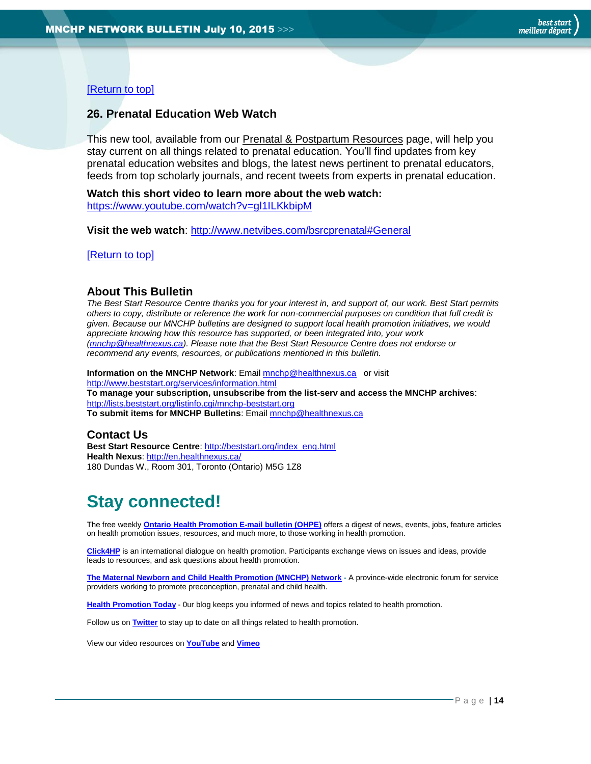#### [\[Return to top\]](#page-0-0)

#### <span id="page-13-1"></span>**26. Prenatal Education Web Watch**

This new tool, available from our [Prenatal & Postpartum Resources](http://www.beststart.org/cgi-bin/commerce.cgi?search=action&category=E00E&advanced=yes&sortkey=sku&sortorder=descending) page, will help you stay current on all things related to prenatal education. You'll find updates from key prenatal education websites and blogs, the latest news pertinent to prenatal educators, feeds from top scholarly journals, and recent tweets from experts in prenatal education.

**Watch this short video to learn more about the web watch:**  <https://www.youtube.com/watch?v=gl1ILKkbipM>

**Visit the web watch**:<http://www.netvibes.com/bsrcprenatal#General>

[\[Return to top\]](#page-0-0)

#### <span id="page-13-0"></span>**About This Bulletin**

*The Best Start Resource Centre thanks you for your interest in, and support of, our work. Best Start permits others to copy, distribute or reference the work for non-commercial purposes on condition that full credit is given. Because our MNCHP bulletins are designed to support local health promotion initiatives, we would appreciate knowing how this resource has supported, or been integrated into, your work [\(mnchp@healthnexus.ca\)](mailto:mnchp@healthnexus.ca). Please note that the Best Start Resource Centre does not endorse or recommend any events, resources, or publications mentioned in this bulletin.* 

**Information on the MNCHP Network:** Emai[l mnchp@healthnexus.ca](mailto:mnchp@healthnexus.ca) or visit <http://www.beststart.org/services/information.html> **To manage your subscription, unsubscribe from the list-serv and access the MNCHP archives**: <http://lists.beststart.org/listinfo.cgi/mnchp-beststart.org> **To submit items for MNCHP Bulletins**: Emai[l mnchp@healthnexus.ca](mailto:mnchp@healthnexus.ca)

#### **Contact Us**

**Best Start Resource Centre**: [http://beststart.org/index\\_eng.html](http://beststart.org/index_eng.html) **Health Nexus**:<http://en.healthnexus.ca/> 180 Dundas W., Room 301, Toronto (Ontario) M5G 1Z8

# **Stay connected!**

The free weekly **[Ontario Health Promotion E-mail bulletin \(OHPE\)](http://www.ohpe.ca/)** offers a digest of news, events, jobs, feature articles on health promotion issues, resources, and much more, to those working in health promotion.

**[Click4HP](https://listserv.yorku.ca/archives/click4hp.html)** is an international dialogue on health promotion. Participants exchange views on issues and ideas, provide leads to resources, and ask questions about health promotion.

**[The Maternal Newborn and Child Health Promotion \(MNCHP\) Network](http://www.beststart.org/services/MNCHP.html) -** A province-wide electronic forum for service providers working to promote preconception, prenatal and child health.

**[Health Promotion Today](http://en.healthnexus.ca/)** - 0ur blog keeps you informed of news and topics related to health promotion.

Follow us on **[Twitter](https://twitter.com/Health_Nexus)** to stay up to date on all things related to health promotion.

View our video resources on **[YouTube](http://www.youtube.com/user/healthnexussante)** and **[Vimeo](https://vimeo.com/user9493317)**